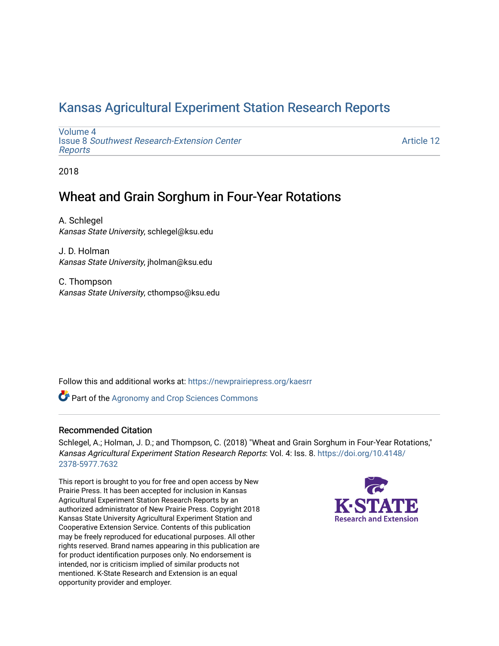# [Kansas Agricultural Experiment Station Research Reports](https://newprairiepress.org/kaesrr)

[Volume 4](https://newprairiepress.org/kaesrr/vol4) Issue 8 [Southwest Research-Extension Center](https://newprairiepress.org/kaesrr/vol4/iss8)  [Reports](https://newprairiepress.org/kaesrr/vol4/iss8)

[Article 12](https://newprairiepress.org/kaesrr/vol4/iss8/12) 

2018

# Wheat and Grain Sorghum in Four-Year Rotations

A. Schlegel Kansas State University, schlegel@ksu.edu

J. D. Holman Kansas State University, jholman@ksu.edu

C. Thompson Kansas State University, cthompso@ksu.edu

Follow this and additional works at: [https://newprairiepress.org/kaesrr](https://newprairiepress.org/kaesrr?utm_source=newprairiepress.org%2Fkaesrr%2Fvol4%2Fiss8%2F12&utm_medium=PDF&utm_campaign=PDFCoverPages) 

**Part of the Agronomy and Crop Sciences Commons** 

### Recommended Citation

Schlegel, A.; Holman, J. D.; and Thompson, C. (2018) "Wheat and Grain Sorghum in Four-Year Rotations," Kansas Agricultural Experiment Station Research Reports: Vol. 4: Iss. 8. [https://doi.org/10.4148/](https://doi.org/10.4148/2378-5977.7632) [2378-5977.7632](https://doi.org/10.4148/2378-5977.7632) 

This report is brought to you for free and open access by New Prairie Press. It has been accepted for inclusion in Kansas Agricultural Experiment Station Research Reports by an authorized administrator of New Prairie Press. Copyright 2018 Kansas State University Agricultural Experiment Station and Cooperative Extension Service. Contents of this publication may be freely reproduced for educational purposes. All other rights reserved. Brand names appearing in this publication are for product identification purposes only. No endorsement is intended, nor is criticism implied of similar products not mentioned. K-State Research and Extension is an equal opportunity provider and employer.

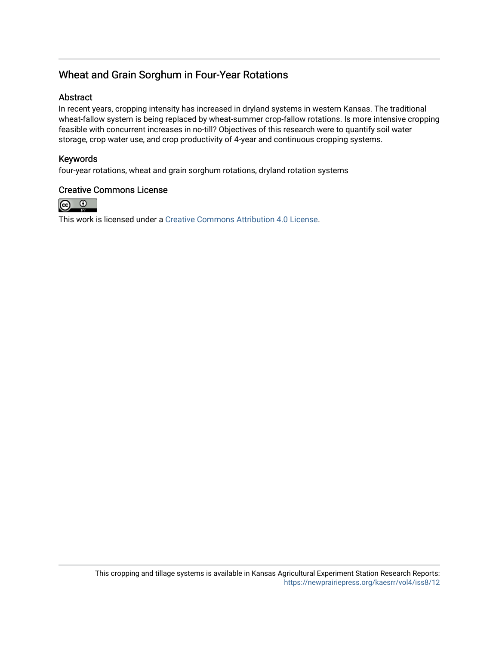# Wheat and Grain Sorghum in Four-Year Rotations

### Abstract

In recent years, cropping intensity has increased in dryland systems in western Kansas. The traditional wheat-fallow system is being replaced by wheat-summer crop-fallow rotations. Is more intensive cropping feasible with concurrent increases in no-till? Objectives of this research were to quantify soil water storage, crop water use, and crop productivity of 4-year and continuous cropping systems.

### Keywords

four-year rotations, wheat and grain sorghum rotations, dryland rotation systems

### Creative Commons License



This work is licensed under a [Creative Commons Attribution 4.0 License](https://creativecommons.org/licenses/by/4.0/).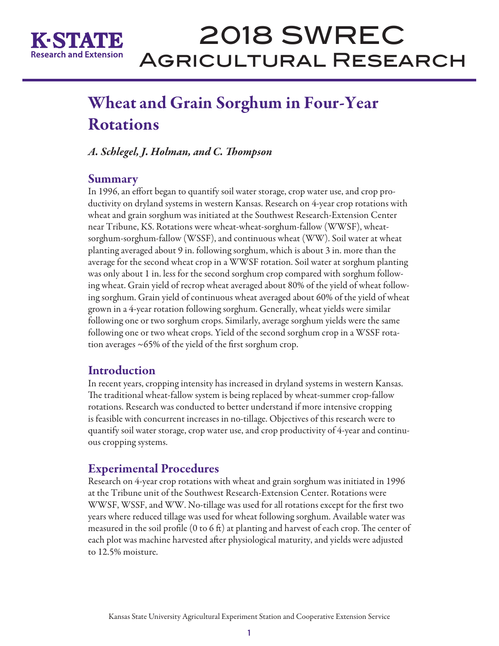

# 2018 SWREC Agricultural Research

# Wheat and Grain Sorghum in Four-Year **Rotations**

*A. Schlegel, J. Holman, and C. Thompson*

## Summary

In 1996, an effort began to quantify soil water storage, crop water use, and crop productivity on dryland systems in western Kansas. Research on 4-year crop rotations with wheat and grain sorghum was initiated at the Southwest Research-Extension Center near Tribune, KS. Rotations were wheat-wheat-sorghum-fallow (WWSF), wheatsorghum-sorghum-fallow (WSSF), and continuous wheat (WW). Soil water at wheat planting averaged about 9 in. following sorghum, which is about 3 in. more than the average for the second wheat crop in a WWSF rotation. Soil water at sorghum planting was only about 1 in. less for the second sorghum crop compared with sorghum following wheat. Grain yield of recrop wheat averaged about 80% of the yield of wheat following sorghum. Grain yield of continuous wheat averaged about 60% of the yield of wheat grown in a 4-year rotation following sorghum. Generally, wheat yields were similar following one or two sorghum crops. Similarly, average sorghum yields were the same following one or two wheat crops. Yield of the second sorghum crop in a WSSF rotation averages ~65% of the yield of the first sorghum crop.

# **Introduction**

In recent years, cropping intensity has increased in dryland systems in western Kansas. The traditional wheat-fallow system is being replaced by wheat-summer crop-fallow rotations. Research was conducted to better understand if more intensive cropping is feasible with concurrent increases in no-tillage. Objectives of this research were to quantify soil water storage, crop water use, and crop productivity of 4-year and continuous cropping systems.

# Experimental Procedures

Research on 4-year crop rotations with wheat and grain sorghum was initiated in 1996 at the Tribune unit of the Southwest Research-Extension Center. Rotations were WWSF, WSSF, and WW. No-tillage was used for all rotations except for the first two years where reduced tillage was used for wheat following sorghum. Available water was measured in the soil profile (0 to 6 ft) at planting and harvest of each crop. The center of each plot was machine harvested after physiological maturity, and yields were adjusted to 12.5% moisture.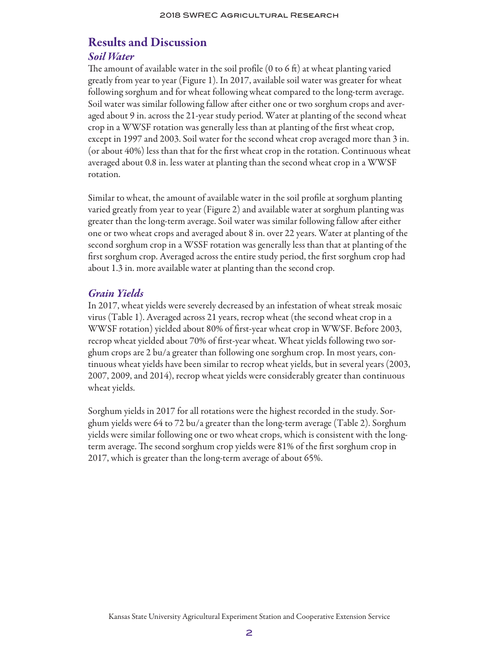# Results and Discussion

### *Soil Water*

The amount of available water in the soil profile (0 to 6 ft) at wheat planting varied greatly from year to year (Figure 1). In 2017, available soil water was greater for wheat following sorghum and for wheat following wheat compared to the long-term average. Soil water was similar following fallow after either one or two sorghum crops and averaged about 9 in. across the 21-year study period. Water at planting of the second wheat crop in a WWSF rotation was generally less than at planting of the first wheat crop, except in 1997 and 2003. Soil water for the second wheat crop averaged more than 3 in. (or about 40%) less than that for the first wheat crop in the rotation. Continuous wheat averaged about 0.8 in. less water at planting than the second wheat crop in a WWSF rotation.

Similar to wheat, the amount of available water in the soil profile at sorghum planting varied greatly from year to year (Figure 2) and available water at sorghum planting was greater than the long-term average. Soil water was similar following fallow after either one or two wheat crops and averaged about 8 in. over 22 years. Water at planting of the second sorghum crop in a WSSF rotation was generally less than that at planting of the first sorghum crop. Averaged across the entire study period, the first sorghum crop had about 1.3 in. more available water at planting than the second crop.

### *Grain Yields*

In 2017, wheat yields were severely decreased by an infestation of wheat streak mosaic virus (Table 1). Averaged across 21 years, recrop wheat (the second wheat crop in a WWSF rotation) yielded about 80% of first-year wheat crop in WWSF. Before 2003, recrop wheat yielded about 70% of first-year wheat. Wheat yields following two sorghum crops are 2 bu/a greater than following one sorghum crop. In most years, continuous wheat yields have been similar to recrop wheat yields, but in several years (2003, 2007, 2009, and 2014), recrop wheat yields were considerably greater than continuous wheat yields.

Sorghum yields in 2017 for all rotations were the highest recorded in the study. Sorghum yields were 64 to 72 bu/a greater than the long-term average (Table 2). Sorghum yields were similar following one or two wheat crops, which is consistent with the longterm average. The second sorghum crop yields were 81% of the first sorghum crop in 2017, which is greater than the long-term average of about 65%.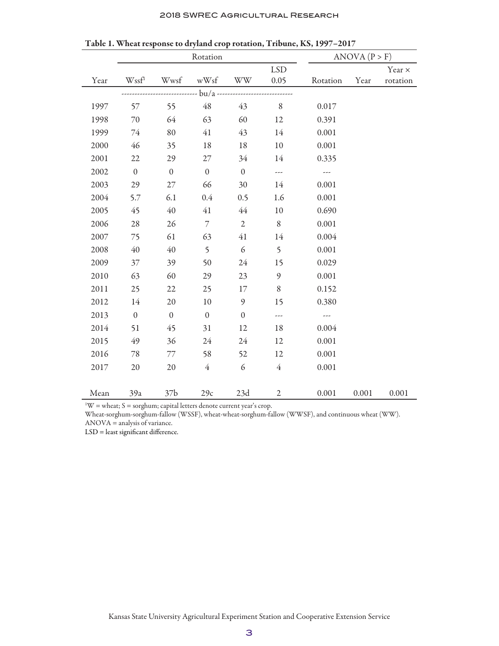#### 2018 SWREC Agricultural Research

|      | Rotation         |                  |                  |                  |                          | ANOVA (P > F) |       |          |
|------|------------------|------------------|------------------|------------------|--------------------------|---------------|-------|----------|
|      |                  |                  |                  |                  | <b>LSD</b>               |               |       | Year ×   |
| Year | Wssfl            | Wwsf             | wWsf             | <b>WW</b>        | 0.05                     | Rotation      | Year  | rotation |
|      |                  |                  |                  |                  |                          |               |       |          |
| 1997 | 57               | 55               | 48               | 43               | $\,$ $\,$                | 0.017         |       |          |
| 1998 | 70               | 64               | 63               | 60               | 12                       | 0.391         |       |          |
| 1999 | 74               | 80               | 41               | 43               | 14                       | 0.001         |       |          |
| 2000 | 46               | 35               | 18               | 18               | 10                       | 0.001         |       |          |
| 2001 | 22               | 29               | $27\,$           | 34               | 14                       | 0.335         |       |          |
| 2002 | $\boldsymbol{0}$ | $\boldsymbol{0}$ | $\boldsymbol{0}$ | $\boldsymbol{0}$ | $\overline{\phantom{a}}$ | ---           |       |          |
| 2003 | 29               | 27               | 66               | 30               | 14                       | 0.001         |       |          |
| 2004 | 5.7              | 6.1              | 0.4              | 0.5              | 1.6                      | 0.001         |       |          |
| 2005 | 45               | 40               | 41               | $44$             | $10\,$                   | 0.690         |       |          |
| 2006 | 28               | 26               | $\overline{7}$   | $\sqrt{2}$       | $\, 8$                   | 0.001         |       |          |
| 2007 | 75               | 61               | 63               | 41               | 14                       | 0.004         |       |          |
| 2008 | 40               | 40               | 5                | 6                | 5                        | 0.001         |       |          |
| 2009 | 37               | 39               | 50               | 24               | 15                       | 0.029         |       |          |
| 2010 | 63               | 60               | 29               | 23               | 9                        | 0.001         |       |          |
| 2011 | 25               | 22               | 25               | 17               | $\,8\,$                  | 0.152         |       |          |
| 2012 | 14               | 20               | 10               | 9                | 15                       | 0.380         |       |          |
| 2013 | $\boldsymbol{0}$ | $\boldsymbol{0}$ | $\boldsymbol{0}$ | $\mathbf{0}$     | ---                      | ---           |       |          |
| 2014 | 51               | 45               | 31               | 12               | 18                       | 0.004         |       |          |
| 2015 | 49               | 36               | 24               | 24               | 12                       | 0.001         |       |          |
| 2016 | $78\,$           | $77\,$           | 58               | 52               | 12                       | 0.001         |       |          |
| 2017 | 20               | 20               | $\overline{4}$   | 6                | $\overline{4}$           | 0.001         |       |          |
|      |                  |                  |                  |                  |                          |               |       |          |
| Mean | 39a              | 37 <sub>b</sub>  | 29c              | 23d              | $\overline{2}$           | 0.001         | 0.001 | 0.001    |

Table 1. Wheat response to dryland crop rotation, Tribune, KS, 1997–2017

 $\mathbb{I}^1 \mathbb{W}$  = wheat; S = sorghum; capital letters denote current year's crop.

Wheat-sorghum-sorghum-fallow (WSSF), wheat-wheat-sorghum-fallow (WWSF), and continuous wheat (WW). ANOVA = analysis of variance.

LSD = least significant difference.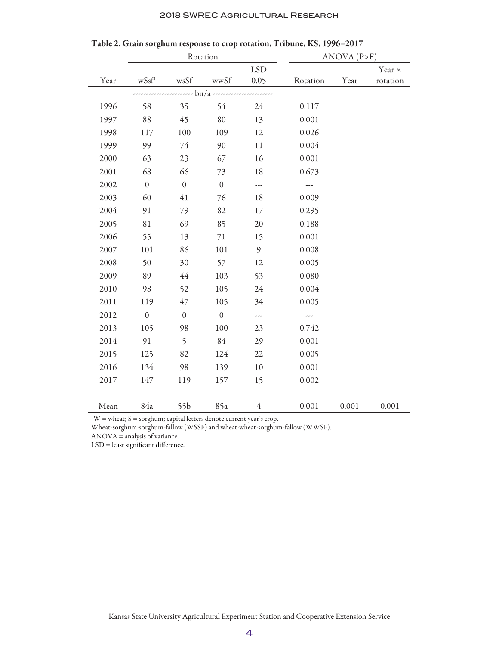|  | 2018 SWREC AGRICULTURAL RESEARCH |  |
|--|----------------------------------|--|
|--|----------------------------------|--|

|      | Rotation     |              |                  |            | ANOVA (P>F)          |       |               |  |
|------|--------------|--------------|------------------|------------|----------------------|-------|---------------|--|
|      |              |              |                  | <b>LSD</b> |                      |       | Year $\times$ |  |
| Year | wSsf         | wsSf         | wwSf             | 0.05       | Rotation             | Year  | rotation      |  |
|      |              |              |                  |            |                      |       |               |  |
| 1996 | 58           | 35           | 54               | 24         | 0.117                |       |               |  |
| 1997 | 88           | 45           | 80               | 13         | 0.001                |       |               |  |
| 1998 | 117          | 100          | 109              | 12         | 0.026                |       |               |  |
| 1999 | 99           | 74           | 90               | 11         | 0.004                |       |               |  |
| 2000 | 63           | 23           | 67               | 16         | 0.001                |       |               |  |
| 2001 | 68           | 66           | 73               | 18         | 0.673                |       |               |  |
| 2002 | $\mathbf{0}$ | $\mathbf{0}$ | $\boldsymbol{0}$ | ---        | $\sim$ $\sim$ $\sim$ |       |               |  |
| 2003 | 60           | 41           | 76               | 18         | 0.009                |       |               |  |
| 2004 | 91           | 79           | 82               | 17         | 0.295                |       |               |  |
| 2005 | 81           | 69           | 85               | 20         | 0.188                |       |               |  |
| 2006 | 55           | 13           | $71\,$           | 15         | 0.001                |       |               |  |
| 2007 | 101          | 86           | 101              | 9          | 0.008                |       |               |  |
| 2008 | 50           | 30           | 57               | 12         | 0.005                |       |               |  |
| 2009 | 89           | 44           | 103              | 53         | 0.080                |       |               |  |
| 2010 | 98           | 52           | 105              | 24         | 0.004                |       |               |  |
| 2011 | 119          | 47           | 105              | 34         | 0.005                |       |               |  |
| 2012 | $\mathbf{0}$ | $\mathbf{0}$ | $\boldsymbol{0}$ | ---        | ---                  |       |               |  |
| 2013 | 105          | 98           | 100              | 23         | 0.742                |       |               |  |
| 2014 | 91           | 5            | 84               | 29         | 0.001                |       |               |  |
| 2015 | 125          | 82           | 124              | 22         | 0.005                |       |               |  |
| 2016 | 134          | 98           | 139              | 10         | 0.001                |       |               |  |
| 2017 | 147          | 119          | 157              | 15         | 0.002                |       |               |  |
|      |              |              |                  |            |                      |       |               |  |
| Mean | 84a          | 55b          | 85a              | 4          | 0.001                | 0.001 | 0.001         |  |

|  |  | Table 2. Grain sorghum response to crop rotation, Tribune, KS, 1996–2017 |  |  |  |  |
|--|--|--------------------------------------------------------------------------|--|--|--|--|
|--|--|--------------------------------------------------------------------------|--|--|--|--|

 $\Delta$ <sup>1</sup>W = wheat; S = sorghum; capital letters denote current year's crop.

Wheat-sorghum-sorghum-fallow (WSSF) and wheat-wheat-sorghum-fallow (WWSF).

ANOVA = analysis of variance.

LSD = least significant difference.